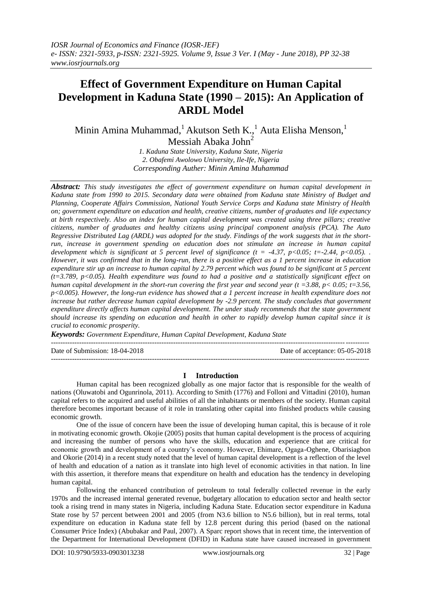# **Effect of Government Expenditure on Human Capital Development in Kaduna State (1990 – 2015): An Application of ARDL Model**

Minin Amina Muhammad,<sup>1</sup> Akutson Seth K.,<sup>1</sup> Auta Elisha Menson,<sup>1</sup>

Messiah Abaka John<sup>2</sup>

*1. Kaduna State University, Kaduna State, Nigeria 2. Obafemi Awolowo University, Ile-Ife, Nigeria Corresponding Auther: Minin Amina Muhammad*

*Abstract: This study investigates the effect of government expenditure on human capital development in Kaduna state from 1990 to 2015. Secondary data were obtained from Kaduna state Ministry of Budget and Planning, Cooperate Affairs Commission, National Youth Service Corps and Kaduna state Ministry of Health on; government expenditure on education and health, creative citizens, number of graduates and life expectancy at birth respectively. Also an index for human capital development was created using three pillars; creative citizens, number of graduates and healthy citizens using principal component analysis (PCA). The Auto Regressive Distributed Lag (ARDL) was adopted for the study. Findings of the work suggests that in the shortrun, increase in government spending on education does not stimulate an increase in human capital development which is significant at 5 percent level of significance (t = -4.37, p<0.05; t=-2.44, p<0.05). However, it was confirmed that in the long-run, there is a positive effect as a 1 percent increase in education expenditure stir up an increase to human capital by 2.79 percent which was found to be significant at 5 percent (t=3.789, p<0.05). Health expenditure was found to had a positive and a statistically significant effect on human capital development in the short-run covering the first year and second year (t =3.88, p< 0.05; t=3.56, p<0.005). However, the long-run evidence has showed that a 1 percent increase in health expenditure does not increase but rather decrease human capital development by -2.9 percent. The study concludes that government expenditure directly affects human capital development. The under study recommends that the state government should increase its spending on education and health in other to rapidly develop human capital since it is crucial to economic prosperity.*

*Keywords: Government Expenditure, Human Capital Development, Kaduna State*

---------------------------------------------------------------------------------------------------------------------------------------

Date of Submission: 18-04-2018 Date of acceptance: 05-05-2018

## **I Introduction**

---------------------------------------------------------------------------------------------------------------------------------------

Human capital has been recognized globally as one major factor that is responsible for the wealth of nations (Oluwatobi and Ogunrinola, 2011). According to Smith (1776) and Folloni and Vittadini (2010), human capital refers to the acquired and useful abilities of all the inhabitants or members of the society. Human capital therefore becomes important because of it role in translating other capital into finished products while causing economic growth.

One of the issue of concern have been the issue of developing human capital, this is because of it role in motivating economic growth. Okojie (2005) posits that human capital development is the process of acquiring and increasing the number of persons who have the skills, education and experience that are critical for economic growth and development of a country's economy. However, Ehimare, Ogaga-Oghene, Obarisiagbon and Okorie (2014) in a recent study noted that the level of human capital development is a reflection of the level of health and education of a nation as it translate into high level of economic activities in that nation. In line with this assertion, it therefore means that expenditure on health and education has the tendency in developing human capital.

Following the enhanced contribution of petroleum to total federally collected revenue in the early 1970s and the increased internal generated revenue, budgetary allocation to education sector and health sector took a rising trend in many states in Nigeria, including Kaduna State. Education sector expenditure in Kaduna State rose by 57 percent between 2001 and 2005 (from N3.6 billion to N5.6 billion), but in real terms, total expenditure on education in Kaduna state fell by 12.8 percent during this period (based on the national Consumer Price Index) (Abubakar and Paul, 2007). A Sparc report shows that in recent time, the intervention of the Department for International Development (DFID) in Kaduna state have caused increased in government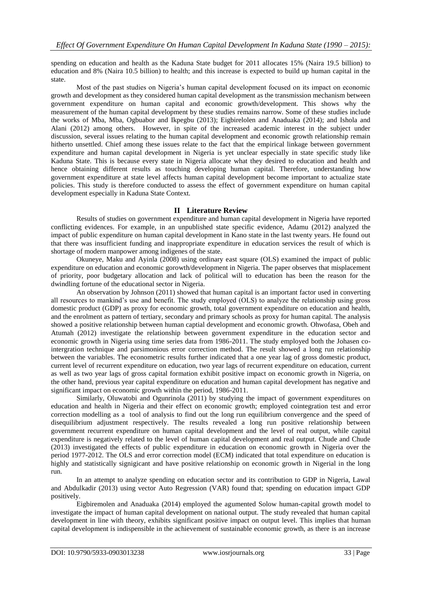spending on education and health as the Kaduna State budget for 2011 allocates 15% (Naira 19.5 billion) to education and 8% (Naira 10.5 billion) to health; and this increase is expected to build up human capital in the state.

Most of the past studies on Nigeria's human capital development focused on its impact on economic growth and development as they considered human capital development as the transmission mechanism between government expenditure on human capital and economic growth/development. This shows why the measurement of the human capital development by these studies remains narrow. Some of these studies include the works of Mba, Mba, Ogbuabor and Ikpegbu (2013); Eigbirelolen and Anaduaka (2014); and Ishola and Alani (2012) among others. However, in spite of the increased academic interest in the subject under discussion, several issues relating to the human capital development and economic growth relationship remain hitherto unsettled. Chief among these issues relate to the fact that the empirical linkage between government expenditure and human capital development in Nigeria is yet unclear especially in state specific study like Kaduna State. This is because every state in Nigeria allocate what they desired to education and health and hence obtaining different results as touching developing human capital. Therefore, understanding how government expenditure at state level affects human capital development become important to actualize state policies. This study is therefore conducted to assess the effect of government expenditure on human capital development especially in Kaduna State Context.

## **II Literature Review**

Results of studies on government expenditure and human capital development in Nigeria have reported conflicting evidences. For example, in an unpublished state specific evidence, Adamu (2012) analyzed the impact of public expenditure on human capital development in Kano state in the last twenty years. He found out that there was insufficient funding and inappropriate expenditure in education services the result of which is shortage of modern manpower among indigenes of the state.

Okuneye, Maku and Ayinla (2008) using ordinary east square (OLS) examined the impact of public expenditure on education and economic gorowth/development in Nigeria. The paper observes that misplacement of priority, poor budgetary allocation and lack of political will to education has been the reason for the dwindling fortune of the educational sector in Nigeria.

An observation by Johnson (2011) showed that human capital is an important factor used in converting all resources to mankind's use and benefit. The study employed (OLS) to analyze the relationship using gross domestic product (GDP) as proxy for economic growth, total government expenditure on education and health, and the enrolment as pattern of tertiary, secondary and primary schools as proxy for human capital. The analysis showed a positive relationship between human captial development and economic growth. Ohwofasa, Obeh and Atumah (2012) investigate the relationship between government expenditure in the education sector and economic growth in Nigeria using time series data from 1986-2011. The study employed both the Johasen cointergration technique and parsimonious error correction method. The result showed a long run relationship between the variables. The econometric results further indicated that a one year lag of gross domestic product, current level of recurrent expenditure on education, two year lags of recurrent expenditure on education, current as well as two year lags of gross capital formation exhibit positive impact on economic growth in Nigeria, on the other hand, previous year capital expenditure on education and human capital development has negative and significant impact on economic growth within the period, 1986-2011.

Similarly, Oluwatobi and Ogunrinola (2011) by studying the impact of government expenditures on education and health in Nigeria and their effect on economic growth; employed cointegration test and error correction modelling as a tool of analysis to find out the long run equilibrium convergence and the speed of disequilibrium adjustment respectively. The results revealed a long run positive relationship between government recurrent expenditure on human capital development and the level of real output, while capital expenditure is negatively related to the level of human capital development and real output. Chude and Chude (2013) investigated the effects of public expenditure in education on economic growth in Nigeria over the period 1977-2012. The OLS and error correction model (ECM) indicated that total expenditure on education is highly and statistically signigicant and have positive relationship on economic growth in Nigerial in the long run.

In an attempt to analyze spending on education sector and its contribution to GDP in Nigeria, Lawal and Abdulkadir (2013) using vector Auto Regression (VAR) found that; spending on education impact GDP positively.

Eigbiremolen and Anaduaka (2014) employed the agumented Solow human-capital growth model to investigate the impact of human capital development on national output. The study revealed that human capital development in line with theory, exhibits significant positive impact on output level. This implies that human capital development is indispensible in the achievement of sustainable economic growth, as there is an increase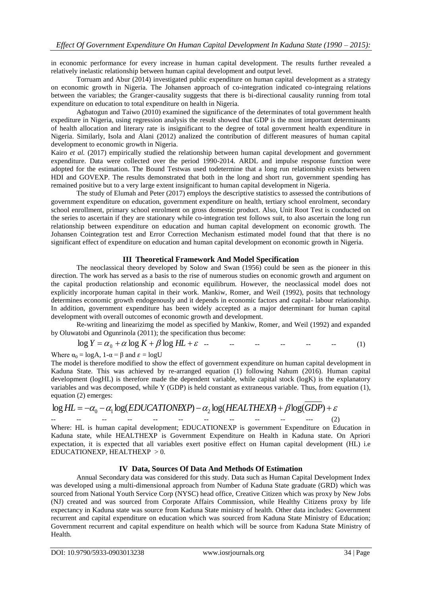in economic performance for every increase in human capital development. The results further revealed a relatively inelastic relationship between human capital development and output level.

Torruam and Abur (2014) investigated public expenditure on human capital development as a strategy on economic growth in Nigeria. The Johansen approach of co-integration indicated co-integraing relations between the variables; the Granger-causality suggests that there is bi-directional causality running from total expenditure on education to total expenditure on health in Nigeria.

Agbatogun and Taiwo (2010) examined the significance of the determinates of total government health expediture in Nigeria, using regression analysis the result showed that GDP is the most important determinants of health allocation and literary rate is insignificant to the degree of total government health expenditure in Nigeria. Similarly, Isola and Alani (2012) analized the contribution of different measures of human capital development to economic growth in Nigeria.

Kairo *et al.* (2017) empirically studied the relationship between human capital development and government expenditure. Data were collected over the period 1990-2014. ARDL and impulse response function were adopted for the estimation. The Bound Testwas used todetermine that a long run relationship exists between HDI and GOVEXP. The results demonstrated that both in the long and short run, government spending has remained positive but to a very large extent insignificant to human capital development in Nigeria.

The study of Elumah and Peter (2017) employs the descriptive statistics to assessed the contributions of government expenditure on education, government expenditure on health, tertiary school enrolment, secondary school enrollment, primary school enrolment on gross domestic product. Also, Unit Root Test is conducted on the series to ascertain if they are stationary while co-integration test follows suit, to also ascertain the long run relationship between expenditure on education and human capital development on economic growth. The Johansen Cointegration test and Error Correction Mechanism estimated model found that that there is no significant effect of expenditure on education and human capital development on economic growth in Nigeria.

## **III Theoretical Framework And Model Specification**

The neoclassical theory developed by Solow and Swan (1956) could be seen as the pioneer in this direction. The work has served as a basis to the rise of numerous studies on economic growth and argument on the capital production relationship and economic equilibrum. However, the neoclassical model does not explicitly incorporate human capital in their work. Mankiw, Romer, and Weil (1992), posits that technology determines economic growth endogenously and it depends in economic factors and capital- labour relationship. In addition, government expenditure has been widely accepted as a major determinant for human capital development with overall outcomes of economic growth and development.

Re-writing and linearizimg the model as specified by Mankiw, Romer, and Weil (1992) and expanded by Oluwatobi and Ogunrinola (2011); the specification thus become:

$$
\log Y = \alpha_0 + \alpha \log K + \beta \log H L + \varepsilon \quad \text{---} \quad \text{---} \quad \text{---} \quad \text{---} \tag{1}
$$

Where  $\alpha_0 = \log A$ ,  $1-\alpha = \beta$  and  $\varepsilon = \log U$ 

The model is therefore modified to show the effect of government expenditure on human capital development in Kaduna State. This was achieved by re-arranged equation (1) following Nahum (2016). Human capital development (logHL) is therefore made the dependent variable, while capital stock (logK) is the explanatory variables and was decomposed, while Y (GDP) is held constant as extraneous variable. Thus, from equation (1), equation (2) emerges:

$$
\log HL = -\alpha_0 - \alpha_1 \log (EDUCATIONEXP) - \alpha_2 \log (HEALTHEXP) + \beta \log (GDP) + \varepsilon
$$

-- -- -- -- -- -- -- -- -- -- --- (2) Where: HL is human capital development; EDUCATIONEXP is government Expenditure on Education in Kaduna state, while HEALTHEXP is Government Expenditure on Health in Kaduna state. On Apriori expectation, it is expected that all variables exert positive effect on Human capital development (HL) i.e EDUCATIONEXP, HEALTHEXP  $>0$ .

# **IV Data, Sources Of Data And Methods Of Estimation**

Annual Secondary data was considered for this study. Data such as Human Capital Development Index was developed using a multi-dimensional approach from Number of Kaduna State graduate (GRD) which was sourced from National Youth Service Corp (NYSC) head office, Creative Citizen which was proxy by New Jobs (NJ) created and was sourced from Corporate Affairs Commission, while Healthy Citizens proxy by life expectancy in Kaduna state was source from Kaduna State ministry of health. Other data includes: Government recurrent and capital expenditure on education which was sourced from Kaduna State Ministry of Education; Government recurrent and capital expenditure on health which will be source from Kaduna State Ministry of Health.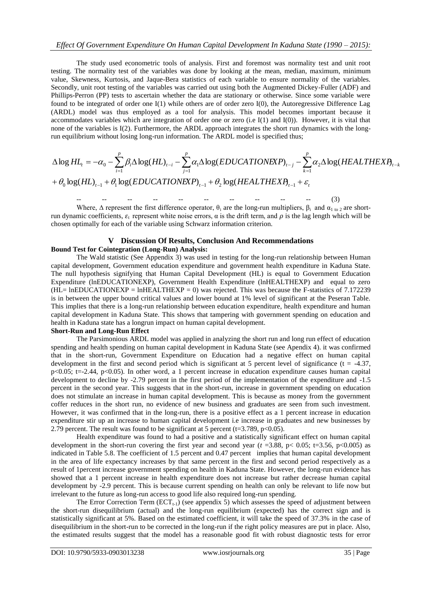The study used econometric tools of analysis. First and foremost was normality test and unit root testing. The normality test of the variables was done by looking at the mean, median, maximum, minimum value, Skewness, Kurtosis, and Jaque-Bera statistics of each variable to ensure normality of the variables. Secondly, unit root testing of the variables was carried out using both the Augmented Dickey-Fuller (ADF) and Phillips-Perron (PP) tests to ascertain whether the data are stationary or otherwise. Since some variable were found to be integrated of order one I(1) while others are of order zero I(0), the Autoregressive Difference Lag (ARDL) model was thus employed as a tool for analysis. This model becomes important because it accommodates variables which are integration of order one or zero (i.e I(1) and I(0)). However, it is vital that none of the variables is I(2). Furthermore, the ARDL approach integrates the short run dynamics with the longrun equilibrium without losing long-run information. The ARDL model is specified thus;

accommodates variables which are integration of order one or zero (i.e I(1) and I(0)). However, it is vital that  
none of the variables is I(2). Furthermore, the ARDL approach integrates the short run dynamics with the long-  
run equilibrium without losing long-run information. The ARDL model is specified thus;  

$$
\Delta \log HL_t = -\alpha_0 - \sum_{i=1}^p \beta_i \Delta \log(HL)_{t-i} - \sum_{j=1}^p \alpha_j \Delta \log(EDUCATIONEXP)_{t-j} - \sum_{k=1}^p \alpha_j \Delta \log(HEALTHEXP)_{t-k}
$$

$$
+ \theta_0 \log(HL)_{t-1} + \theta_1 \log(EDUCATIONEXP)_{t-1} + \theta_2 \log(HEALTHEXP)_{t-1} + \varepsilon_t
$$

-- -- -- -- -- -- -- -- -- -- (3) Where,  $\Delta$  represent the first difference operator,  $\theta_i$  are the long-run multipliers,  $\beta_i$  and  $\alpha_1$  to 2 are shortrun dynamic coefficients,  $ε$ <sub>r</sub> represent white noise errors, α is the drift term, and  $ρ$  is the lag length which will be chosen optimally for each of the variable using Schwarz information criterion.

# **V Discussion Of Results, Conclusion And Recommendations Bound Test for Cointegration (Long-Run) Analysis:**

The Wald statistic (See Appendix 3) was used in testing for the long-run relationship between Human capital development, Government education expenditure and government health expenditure in Kaduna State. The null hypothesis signifying that Human Capital Development (HL) is equal to Government Education Expenditure (lnEDUCATIONEXP), Government Health Expenditure (lnHEALTHEXP) and equal to zero  $(HL= InEDUCATION EXP = InHEALTHEN = 0)$  was rejected. This was because the F-statistics of 7.172239 is in between the upper bound critical values and lower bound at 1% level of significant at the Peseran Table. This implies that there is a long-run relationship between education expenditure, health expenditure and human capital development in Kaduna State. This shows that tampering with government spending on education and health in Kaduna state has a longrun impact on human capital development.

#### **Short-Run and Long-Run Effect**

The Parsimonious ARDL model was applied in analyzing the short run and long run effect of education spending and health spending on human capital development in Kaduna State (see Apendix 4). it was confirmed that in the short-run, Government Expenditure on Education had a negative effect on human capital development in the first and second period which is significant at 5 percent level of significance ( $t = -4.37$ , p<0.05; t=-2.44, p<0.05). In other word, a 1 percent increase in education expenditure causes human capital development to decline by -2.79 percent in the first period of the implementation of the expenditure and -1.5 percent in the second year. This suggests that in the short-run, increase in government spending on education does not stimulate an increase in human capital development. This is because as money from the government coffer reduces in the short run, no evidence of new business and graduates are seen from such investment. However, it was confirmed that in the long-run, there is a positive effect as a 1 percent increase in education expenditure stir up an increase to human capital development i.e increase in graduates and new businesses by 2.79 percent. The result was found to be significant at 5 percent ( $t=3.789$ ,  $p<0.05$ ).

Health expenditure was found to had a positive and a statistically significant effect on human capital development in the short-run covering the first year and second year ( $t = 3.88$ ,  $p < 0.05$ ; t=3.56,  $p < 0.005$ ) as indicated in Table 5.8. The coefficient of 1.5 percent and 0.47 percent implies that human capital development in the area of life expectancy increases by that same percent in the first and second period respectively as a result of 1percent increase government spending on health in Kaduna State. However, the long-run evidence has showed that a 1 percent increase in health expenditure does not increase but rather decrease human capital development by -2.9 percent. This is because current spending on health can only be relevant to life now but irrelevant to the future as long-run access to good life also required long-run spending.

The Error Correction Term  $(ECT<sub>t-1</sub>)$  (see appendix 5) which assesses the speed of adjustment between the short-run disequilibrium (actual) and the long-run equilibrium (expected) has the correct sign and is statistically significant at 5%. Based on the estimated coefficient, it will take the speed of 37.3% in the case of disequilibrium in the short-run to be corrected in the long-run if the right policy measures are put in place. Also, the estimated results suggest that the model has a reasonable good fit with robust diagnostic tests for error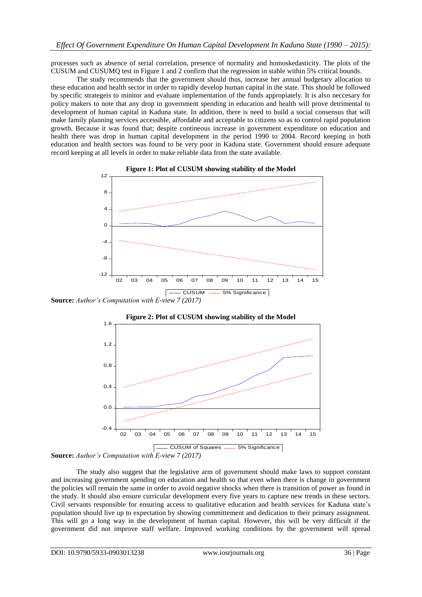processes such as absence of serial correlation, presence of normality and homoskedasticity. The plots of the CUSUM and CUSUMQ test in Figure 1 and 2 confirm that the regression in stable within 5% critical bounds.

The study recommends that the government should thus, increase her annual budgetary allocation to these education and health sector in order to rapidly develop human capital in the state. This should be followed by specific strategeis to minitor and evaluate implementation of the funds appropiately. It is also neccesary for policy makers to note that any drop in government spending in education and health will prove detrimental to development of human capital in Kaduna state. In addition, there is need to build a social consensus that will make family planning services accessible, affordable and acceptable to citizens so as to control rapid population growth. Because it was found that; despite contineous increase in government expenditure on education and health there was drop in human capital development in the period 1990 to 2004. Record keeping in both education and health sectors was found to be very poor in Kaduna state. Government should ensure adequate record keeping at all levels in order to make reliable data from the state available.



**Source:** *Author's Computation with E-view 7 (2017)*





The study also suggest that the legislative arm of government should make laws to support constant and increasing government spending on education and health so that even when there is change in government the policies will remain the same in order to avoid negative shocks when there is transition of power as found in the study. It should also ensure curricular development every five years to capture new trends in these sectors. Civil servants responsible for ensuring access to qualitative education and health services for Kaduna state's population should live up to expectation by showing committement and dedication to their primary assignment. This will go a long way in the development of human capital. However, this will be very difficult if the government did not improve staff welfare. Improved working conditions by the government will spread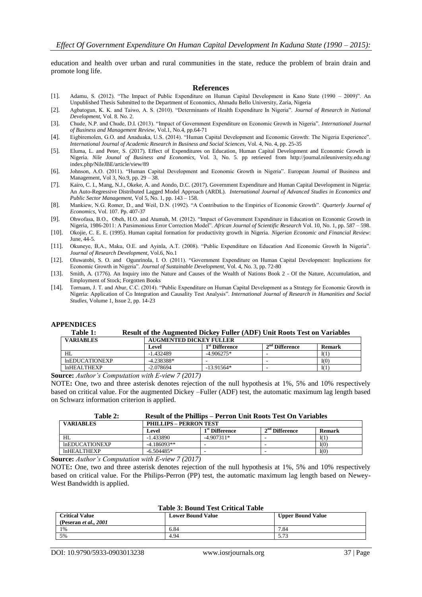education and health over urban and rural communities in the state, reduce the problem of brain drain and promote long life.

#### **References**

- [1]. Adamu, S. (2012). "The Impact of Public Expenditure on Human Capital Development in Kano State (1990 2009)". An Unpublished Thesis Submitted to the Department of Economics, Ahmadu Bello University, Zaria, Nigeria
- [2]. Agbatogun, K. K. and Taiwo, A. S. (2010). "Determinants of Health Expenditure In Nigeria". *Journal of Research in National Development*, Vol. 8. No. 2.
- [3]. Chude, N.P. and Chude, D.I. (2013). "Impact of Government Expenditure on Economic Growth in Nigeria". *International Journal of Business and Management Review*, Vol.1, No.4, pp.64-71
- [4]. Eigbiremolen, G.O. and Anaduaka, U.S. (2014). "Human Capital Development and Economic Growth: The Nigeria Experience". *International Journal of Academic Research in Business and Social Sciences,* Vol. 4, No. 4, pp. 25-35
- [5]. Eluma, L. and Peter, S. (2017). Effect of Expenditures on Education, Human Capital Development and Economic Growth in Nigeria. *Nile Jounal of Business and Economics,* Vol. 3, No. 5. pp retrieved from <http://journal.nileuniversity.edu.ng/> index.php/NileJBE/article/view/89
- [6]. Johnson, A.O. (2011). "Human Capital Development and Economic Growth in Nigeria". European Journal of Business and Management, Vol 3, No.9, pp. 29 – 38.
- [7]. Kairo, C. I., Mang, N.J., Okeke, A. and Aondo, D.C. (2017). Government Expenditure and Human Capital Development in Nigeria: An Auto-Regressive Distributed Lagged Model Approach (ARDL). *International Journal of Advanced Studies in Economics and Public Sector Management,* Vol 5, No. 1, pp. 143 – 158.
- [8]. Mankiew, N.G. Romer, D., and Weil, D.N. (1992). "A Contribution to the Empirics of Economic Growth". *Quarterly Journal of Economics*, Vol. 107. Pp. 407-37
- [9]. Ohwofasa, B.O., Obeh, H.O. and Atumah, M. (2012). "Impact of Government Expenditure in Education on Economic Growth in Nigeria, 1986-2011: A Parsimonious Error Correction Model". *African Journal of Scientific Research* Vol. 10, No. 1, pp. 587 – 598.
- [10]. Okojie, C. E. E. (1995). Human capital formation for productivity growth in Nigeria. *Nigerian Economic and Financial Review*: June, 44-5.
- [11]. Okuneye, B,A., Maku, O.E. and Ayinla, A.T. (2008). "Public Expenditure on Education And Economic Growth In Nigeria". *Journal of Research Development,* Vol.6, No.1
- [12]. Oluwatobi, S. O. and Ogunrinola, I. O. (2011). "Government Expenditure on Human Capital Development: Implications for Economic Growth in Nigeria". *Journal of Sustainable Development*, Vol. 4, No. 3, pp. 72-80
- [13]. Smith, A. (1776). An Inquiry into the Nature and Causes of the Wealth of Nations Book 2 Of the Nature, Accumulation, and Employment of Stock; Forgotten Books
- [14]. Torruam, J. T. and Abur, C.C. (2014). "Public Expenditure on Human Capital Development as a Strategy for Economic Growth in Nigeria: Application of Co Integration and Causality Test Analysis". *International Journal of Research in Humanities and Social Studies*, Volume 1, Issue 2, pp. 14-23

#### **APPENDICES**

# **Table 1: Result of the Augmented Dickey Fuller (ADF) Unit Roots Test on Variables**

| <b>VARIABLES</b>      | <b>AUGMENTED DICKEY FULLER</b> |                            |                  |        |
|-----------------------|--------------------------------|----------------------------|------------------|--------|
|                       | Level                          | 1 <sup>st</sup> Difference | $2nd$ Difference | Remark |
| HL                    | $-1.432489$                    | $-4.906275*$               |                  | I(1)   |
| <b>InEDUCATIONEXP</b> | $-4.238388*$                   |                            | -                | I(0)   |
| InHEALTHEXP           | $-2.078694$                    | $-13.91564*$               | ۰                | I(1)   |

**Source:** *Author's Computation with E-view 7 (2017)*

NOTE**:** One, two and three asterisk denotes rejection of the null hypothesis at 1%, 5% and 10% respectively based on critical value. For the augmented Dickey –Fuller (ADF) test, the automatic maximum lag length based on Schwarz information criterion is applied.

| <b>VARIABLES</b>      |               | <b>PHILLIPS - PERRON TEST</b> |                  |        |  |
|-----------------------|---------------|-------------------------------|------------------|--------|--|
|                       | Level         | 1 <sup>st</sup> Difference    | $2nd$ Difference | Remark |  |
| HL                    | $-1.433890$   | $-4.907311*$                  |                  | I(1)   |  |
| <b>InEDUCATIONEXP</b> | $-4.186093**$ | -                             |                  | I(0)   |  |
| InHEALTHEXP           | $-6.504485*$  | -                             |                  | I(0)   |  |
| .<br>_ _ _ _ _ _      |               |                               |                  |        |  |

**Source:** *Author's Computation with E-view 7 (2017)*

NOTE**:** One, two and three asterisk denotes rejection of the null hypothesis at 1%, 5% and 10% respectively based on critical value. For the Philips-Perron (PP) test, the automatic maximum lag length based on Newey-West Bandwidth is applied.

#### **Table 3: Bound Test Critical Table**

| <b>Critical Value</b><br>(Peseran <i>et al., 2001</i> ) | <b>Lower Bound Value</b> | <b>Upper Bound Value</b> |
|---------------------------------------------------------|--------------------------|--------------------------|
| 1%                                                      | 6.84                     | 7.84                     |
| 5%                                                      | 4.94                     | $-72$<br>2.13            |